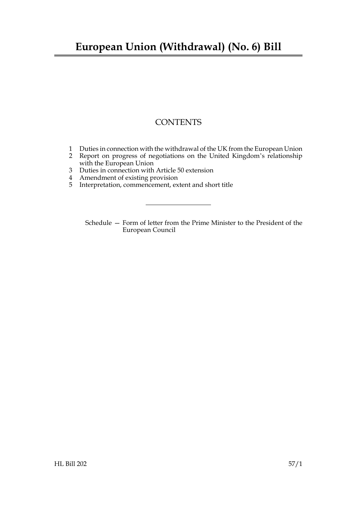## **European Union (Withdrawal) (No. 6) Bill**

### **CONTENTS**

- [1 Duties in connection with the withdrawal of the UK from the European Union](#page-2-0)
- [2 Report on progress of negotiations on the United Kingdom's relationship](#page-3-0) with the European Union
- [3 Duties in connection with Article 50 extension](#page-4-0)
- [4 Amendment of existing provision](#page-4-1)
- [5 Interpretation, commencement, extent and short title](#page-4-2)

Schedule [— Form of letter from the Prime Minister to the President of the](#page-5-0) [European Council](#page-5-0)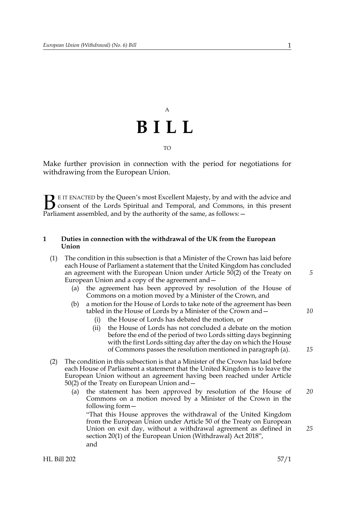# A **BILL** TO

Make further provision in connection with the period for negotiations for withdrawing from the European Union.

E IT ENACTED by the Queen's most Excellent Majesty, by and with the advice and consent of the Lords Spiritual and Temporal, and Commons, in this present **B** E IT ENACTED by the Queen's most Excellent Majesty, by and with consent of the Lords Spiritual and Temporal, and Commons, Parliament assembled, and by the authority of the same, as follows:  $-$ 

#### <span id="page-2-3"></span><span id="page-2-0"></span>**1 Duties in connection with the withdrawal of the UK from the European Union**

- <span id="page-2-1"></span>(1) The condition in this subsection is that a Minister of the Crown has laid before each House of Parliament a statement that the United Kingdom has concluded an agreement with the European Union under Article 50(2) of the Treaty on European Union and a copy of the agreement and—
	- (a) the agreement has been approved by resolution of the House of Commons on a motion moved by a Minister of the Crown, and
	- (b) a motion for the House of Lords to take note of the agreement has been tabled in the House of Lords by a Minister of the Crown and—
		- (i) the House of Lords has debated the motion, or
		- (ii) the House of Lords has not concluded a debate on the motion before the end of the period of two Lords sitting days beginning with the first Lords sitting day after the day on which the House of Commons passes the resolution mentioned in paragraph (a).
- <span id="page-2-4"></span><span id="page-2-2"></span>(2) The condition in this subsection is that a Minister of the Crown has laid before each House of Parliament a statement that the United Kingdom is to leave the European Union without an agreement having been reached under Article 50(2) of the Treaty on European Union and—
	- (a) the statement has been approved by resolution of the House of Commons on a motion moved by a Minister of the Crown in the following form— *20*

"That this House approves the withdrawal of the United Kingdom from the European Union under Article 50 of the Treaty on European Union on exit day, without a withdrawal agreement as defined in section 20(1) of the European Union (Withdrawal) Act 2018", and

*5*

*10*

*15*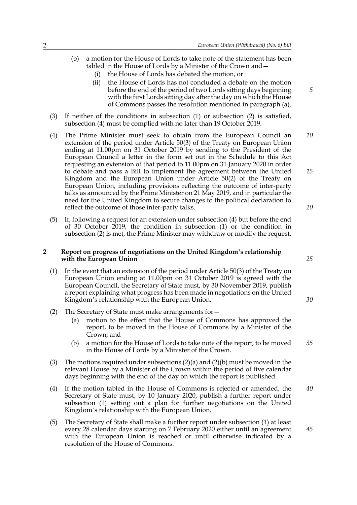- (b) a motion for the House of Lords to take note of the statement has been tabled in the House of Lords by a Minister of the Crown and—
	- (i) the House of Lords has debated the motion, or
	- (ii) the House of Lords has not concluded a debate on the motion before the end of the period of two Lords sitting days beginning with the first Lords sitting day after the day on which the House of Commons passes the resolution mentioned in paragraph (a).
- (3) If neither of the conditions in subsection [\(1\)](#page-2-1) or subsection [\(2\)](#page-2-2) is satisfied, subsection [\(4\)](#page-3-1) must be complied with no later than 19 October 2019.
- <span id="page-3-1"></span>(4) The Prime Minister must seek to obtain from the European Council an extension of the period under Article 50(3) of the Treaty on European Union ending at 11.00pm on 31 October 2019 by sending to the President of the European Council a letter in the form set out in the Schedule to this Act requesting an extension of that period to 11.00pm on 31 January 2020 in order to debate and pass a Bill to implement the agreement between the United Kingdom and the European Union under Article 50(2) of the Treaty on European Union, including provisions reflecting the outcome of inter-party talks as announced by the Prime Minister on 21 May 2019, and in particular the need for the United Kingdom to secure changes to the political declaration to reflect the outcome of those inter-party talks. *10 15 20*
- (5) If, following a request for an extension under subsection [\(4\)](#page-3-1) but before the end of 30 October 2019, the condition in subsection [\(1\)](#page-2-1) or the condition in subsection [\(2\)](#page-2-2) is met, the Prime Minister may withdraw or modify the request.

#### <span id="page-3-0"></span>**2 Report on progress of negotiations on the United Kingdom's relationship with the European Union**

- <span id="page-3-4"></span>(1) In the event that an extension of the period under Article 50(3) of the Treaty on European Union ending at 11.00pm on 31 October 2019 is agreed with the European Council, the Secretary of State must, by 30 November 2019, publish a report explaining what progress has been made in negotiations on the United Kingdom's relationship with the European Union.
- <span id="page-3-2"></span>(2) The Secretary of State must make arrangements for—
	- (a) motion to the effect that the House of Commons has approved the report, to be moved in the House of Commons by a Minister of the Crown; and
	- (b) a motion for the House of Lords to take note of the report, to be moved in the House of Lords by a Minister of the Crown. *35*
- <span id="page-3-3"></span>(3) The motions required under subsections [\(2\)\(a\)](#page-3-2) and [\(2\)\(b\)](#page-3-3) must be moved in the relevant House by a Minister of the Crown within the period of five calendar days beginning with the end of the day on which the report is published.
- (4) If the motion tabled in the House of Commons is rejected or amended, the Secretary of State must, by 10 January 2020, publish a further report under subsection [\(1\)](#page-3-4) setting out a plan for further negotiations on the United Kingdom's relationship with the European Union. *40*
- (5) The Secretary of State shall make a further report under subsection [\(1\)](#page-3-4) at least every 28 calendar days starting on 7 February 2020 either until an agreement with the European Union is reached or until otherwise indicated by a resolution of the House of Commons.

*25*

*30*

*45*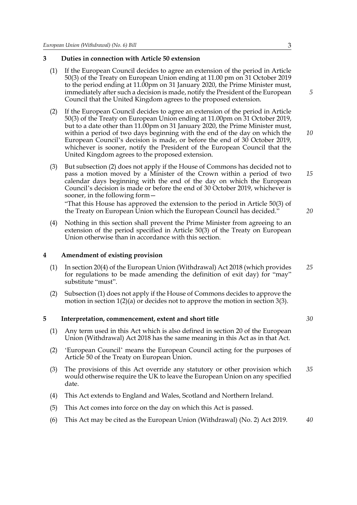#### <span id="page-4-3"></span><span id="page-4-0"></span>**3 Duties in connection with Article 50 extension**

- (1) If the European Council decides to agree an extension of the period in Article 50(3) of the Treaty on European Union ending at 11.00 pm on 31 October 2019 to the period ending at 11.00pm on 31 January 2020, the Prime Minister must, immediately after such a decision is made, notify the President of the European Council that the United Kingdom agrees to the proposed extension.
- <span id="page-4-4"></span>(2) If the European Council decides to agree an extension of the period in Article 50(3) of the Treaty on European Union ending at 11.00pm on 31 October 2019, but to a date other than 11.00pm on 31 January 2020, the Prime Minister must, within a period of two days beginning with the end of the day on which the European Council's decision is made, or before the end of 30 October 2019, whichever is sooner, notify the President of the European Council that the United Kingdom agrees to the proposed extension.
- <span id="page-4-6"></span>(3) But subsection [\(2\)](#page-4-4) does not apply if the House of Commons has decided not to pass a motion moved by a Minister of the Crown within a period of two calendar days beginning with the end of the day on which the European Council's decision is made or before the end of 30 October 2019, whichever is sooner, in the following form—

"That this House has approved the extension to the period in Article 50(3) of the Treaty on European Union which the European Council has decided."

(4) Nothing in this section shall prevent the Prime Minister from agreeing to an extension of the period specified in Article 50(3) of the Treaty on European Union otherwise than in accordance with this section.

#### <span id="page-4-1"></span>**4 Amendment of existing provision**

- <span id="page-4-5"></span>(1) In section 20(4) of the European Union (Withdrawal) Act 2018 (which provides for regulations to be made amending the definition of exit day) for "may" substitute "must". *25*
- (2) Subsection [\(1\)](#page-4-5) does not apply if the House of Commons decides to approve the motion in section [1](#page-2-3)[\(2\)\(a\)](#page-2-4) or decides not to approve the motion in section [3](#page-4-3)[\(3\)](#page-4-6).

#### <span id="page-4-2"></span>**5 Interpretation, commencement, extent and short title**

- (1) Any term used in this Act which is also defined in section 20 of the European Union (Withdrawal) Act 2018 has the same meaning in this Act as in that Act.
- (2) 'European Council' means the European Council acting for the purposes of Article 50 of the Treaty on European Union.
- (3) The provisions of this Act override any statutory or other provision which would otherwise require the UK to leave the European Union on any specified date. *35*
- (4) This Act extends to England and Wales, Scotland and Northern Ireland.
- (5) This Act comes into force on the day on which this Act is passed.
- (6) This Act may be cited as the European Union (Withdrawal) (No. 2) Act 2019. *40*

*5*

*10*

*15*

*20*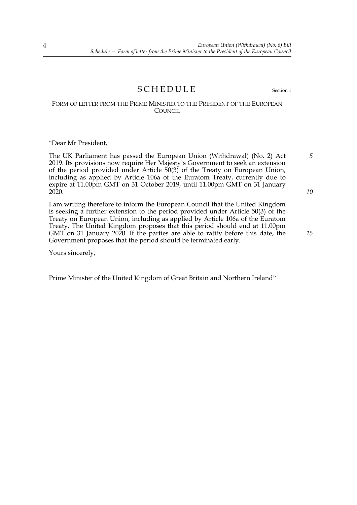### <span id="page-5-0"></span>SCHEDULE Section [1](#page-2-0)

#### FORM OF LETTER FROM THE PRIME MINISTER TO THE PRESIDENT OF THE EUROPEAN COUNCIL.

"Dear Mr President,

The UK Parliament has passed the European Union (Withdrawal) (No. 2) Act 2019. Its provisions now require Her Majesty's Government to seek an extension of the period provided under Article 50(3) of the Treaty on European Union, including as applied by Article 106a of the Euratom Treaty, currently due to expire at 11.00pm GMT on 31 October 2019, until 11.00pm GMT on 31 January 2020.

I am writing therefore to inform the European Council that the United Kingdom is seeking a further extension to the period provided under Article 50(3) of the Treaty on European Union, including as applied by Article 106a of the Euratom Treaty. The United Kingdom proposes that this period should end at 11.00pm GMT on 31 January 2020. If the parties are able to ratify before this date, the Government proposes that the period should be terminated early.

Yours sincerely,

Prime Minister of the United Kingdom of Great Britain and Northern Ireland"

*5*

*10*